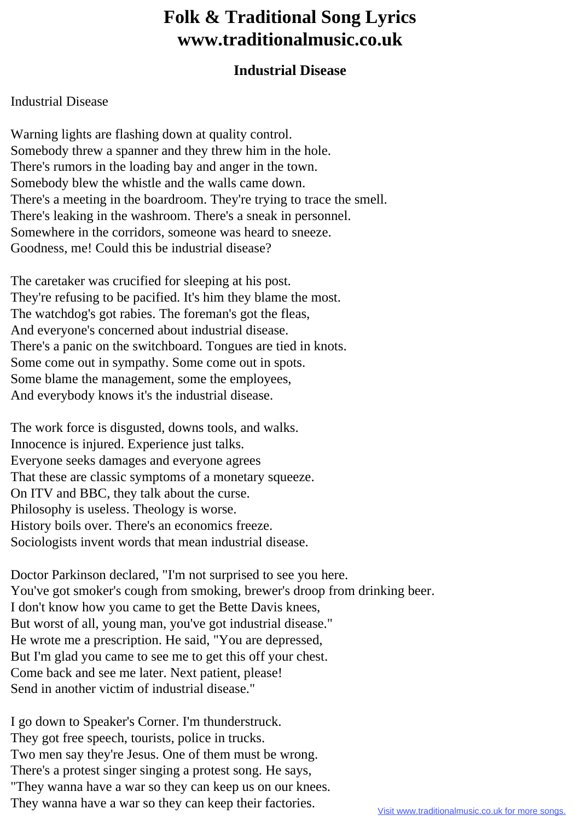## **Folk & Traditional Song Lyrics www.traditionalmusic.co.uk**

## **Industrial Disease**

## Industrial Disease

Warning lights are flashing down at quality control. Somebody threw a spanner and they threw him in the hole. There's rumors in the loading bay and anger in the town. Somebody blew the whistle and the walls came down. There's a meeting in the boardroom. They're trying to trace the smell. There's leaking in the washroom. There's a sneak in personnel. Somewhere in the corridors, someone was heard to sneeze. Goodness, me! Could this be industrial disease?

The caretaker was crucified for sleeping at his post. They're refusing to be pacified. It's him they blame the most. The watchdog's got rabies. The foreman's got the fleas, And everyone's concerned about industrial disease. There's a panic on the switchboard. Tongues are tied in knots. Some come out in sympathy. Some come out in spots. Some blame the management, some the employees, And everybody knows it's the industrial disease.

The work force is disgusted, downs tools, and walks. Innocence is injured. Experience just talks. Everyone seeks damages and everyone agrees That these are classic symptoms of a monetary squeeze. On ITV and BBC, they talk about the curse. Philosophy is useless. Theology is worse. History boils over. There's an economics freeze. Sociologists invent words that mean industrial disease.

Doctor Parkinson declared, "I'm not surprised to see you here. You've got smoker's cough from smoking, brewer's droop from drinking beer. I don't know how you came to get the Bette Davis knees, But worst of all, young man, you've got industrial disease." He wrote me a prescription. He said, "You are depressed, But I'm glad you came to see me to get this off your chest. Come back and see me later. Next patient, please! Send in another victim of industrial disease."

I go down to Speaker's Corner. I'm thunderstruck. They got free speech, tourists, police in trucks. Two men say they're Jesus. One of them must be wrong. There's a protest singer singing a protest song. He says, "They wanna have a war so they can keep us on our knees. They wanna have a war so they can keep their factories.